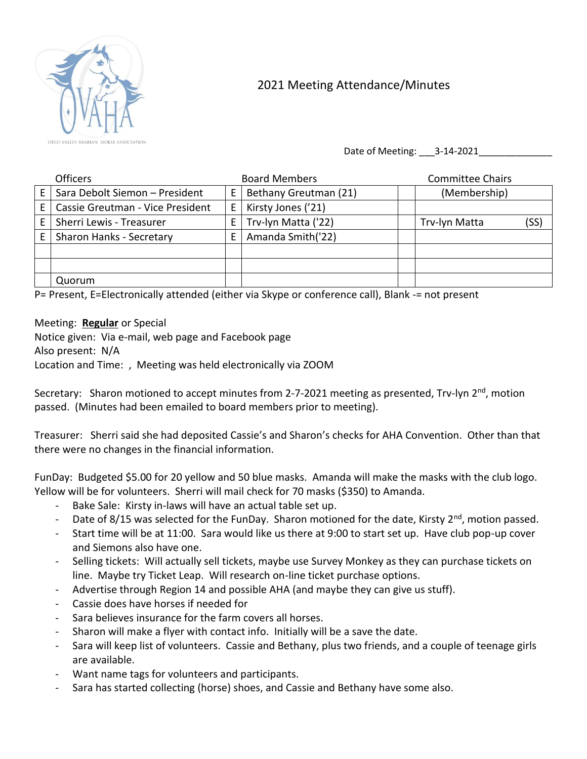

## 2021 Meeting Attendance/Minutes

Date of Meeting: 3-14-2021

|    | <b>Officers</b>                  |   | <b>Board Members</b>  | <b>Committee Chairs</b> |      |
|----|----------------------------------|---|-----------------------|-------------------------|------|
|    | Sara Debolt Siemon - President   | E | Bethany Greutman (21) | (Membership)            |      |
| F. | Cassie Greutman - Vice President | E | Kirsty Jones ('21)    |                         |      |
|    | Sherri Lewis - Treasurer         | E | Trv-lyn Matta ('22)   | Trv-lyn Matta           | (SS) |
| F. | <b>Sharon Hanks - Secretary</b>  | E | Amanda Smith('22)     |                         |      |
|    |                                  |   |                       |                         |      |
|    |                                  |   |                       |                         |      |
|    | Quorum                           |   |                       |                         |      |

P= Present, E=Electronically attended (either via Skype or conference call), Blank -= not present

Meeting: **Regular** or Special

Notice given: Via e-mail, web page and Facebook page Also present: N/A Location and Time: , Meeting was held electronically via ZOOM

Secretary: Sharon motioned to accept minutes from 2-7-2021 meeting as presented, Trv-lyn 2<sup>nd</sup>, motion passed. (Minutes had been emailed to board members prior to meeting).

Treasurer: Sherri said she had deposited Cassie's and Sharon's checks for AHA Convention. Other than that there were no changes in the financial information.

FunDay: Budgeted \$5.00 for 20 yellow and 50 blue masks. Amanda will make the masks with the club logo. Yellow will be for volunteers. Sherri will mail check for 70 masks (\$350) to Amanda.

- Bake Sale: Kirsty in-laws will have an actual table set up.
- Date of 8/15 was selected for the FunDay. Sharon motioned for the date, Kirsty 2<sup>nd</sup>, motion passed.
- Start time will be at 11:00. Sara would like us there at 9:00 to start set up. Have club pop-up cover and Siemons also have one.
- Selling tickets: Will actually sell tickets, maybe use Survey Monkey as they can purchase tickets on line. Maybe try Ticket Leap. Will research on-line ticket purchase options.
- Advertise through Region 14 and possible AHA (and maybe they can give us stuff).
- Cassie does have horses if needed for
- Sara believes insurance for the farm covers all horses.
- Sharon will make a flyer with contact info. Initially will be a save the date.
- Sara will keep list of volunteers. Cassie and Bethany, plus two friends, and a couple of teenage girls are available.
- Want name tags for volunteers and participants.
- Sara has started collecting (horse) shoes, and Cassie and Bethany have some also.